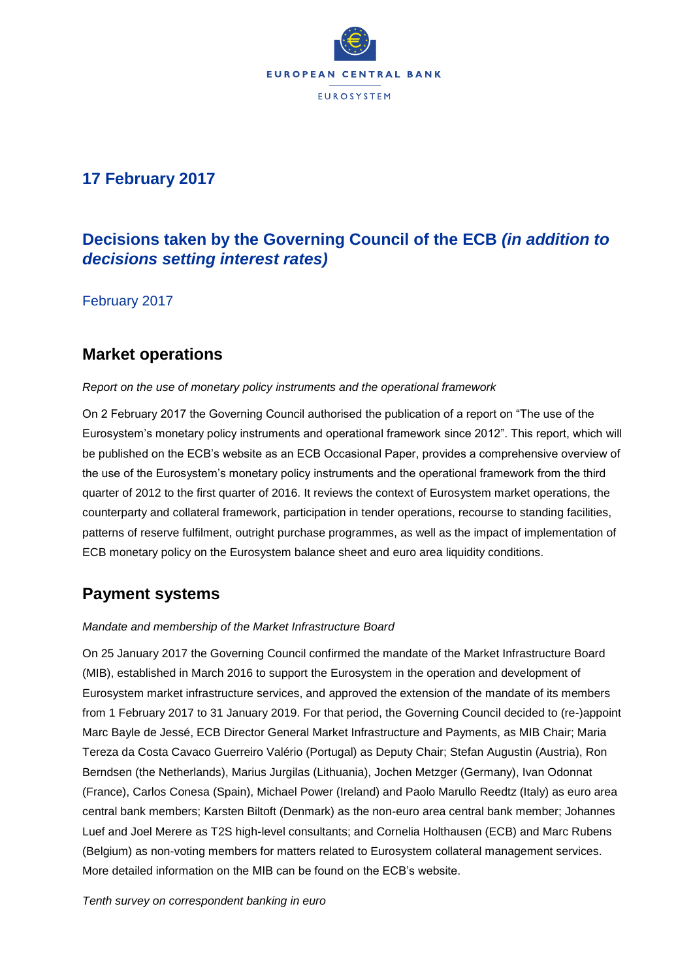

# **17 February 2017**

# **Decisions taken by the Governing Council of the ECB** *(in addition to decisions setting interest rates)*

February 2017

### **Market operations**

#### *Report on the use of monetary policy instruments and the operational framework*

On 2 February 2017 the Governing Council authorised the publication of a report on "The use of the Eurosystem's monetary policy instruments and operational framework since 2012". This report, which will be published on the ECB's website as an ECB Occasional Paper, provides a comprehensive overview of the use of the Eurosystem's monetary policy instruments and the operational framework from the third quarter of 2012 to the first quarter of 2016. It reviews the context of Eurosystem market operations, the counterparty and collateral framework, participation in tender operations, recourse to standing facilities, patterns of reserve fulfilment, outright purchase programmes, as well as the impact of implementation of ECB monetary policy on the Eurosystem balance sheet and euro area liquidity conditions.

# **Payment systems**

#### *Mandate and membership of the Market Infrastructure Board*

On 25 January 2017 the Governing Council confirmed the mandate of the Market Infrastructure Board (MIB), established in March 2016 to support the Eurosystem in the operation and development of Eurosystem market infrastructure services, and approved the extension of the mandate of its members from 1 February 2017 to 31 January 2019. For that period, the Governing Council decided to (re-)appoint Marc Bayle de Jessé, ECB Director General Market Infrastructure and Payments, as MIB Chair; Maria Tereza da Costa Cavaco Guerreiro Valério (Portugal) as Deputy Chair; Stefan Augustin (Austria), Ron Berndsen (the Netherlands), Marius Jurgilas (Lithuania), Jochen Metzger (Germany), Ivan Odonnat (France), Carlos Conesa (Spain), Michael Power (Ireland) and Paolo Marullo Reedtz (Italy) as euro area central bank members; Karsten Biltoft (Denmark) as the non-euro area central bank member; Johannes Luef and Joel Merere as T2S high-level consultants; and Cornelia Holthausen (ECB) and Marc Rubens (Belgium) as non-voting members for matters related to Eurosystem collateral management services. More detailed information on the MIB can be found on the ECB's website.

*Tenth survey on correspondent banking in euro*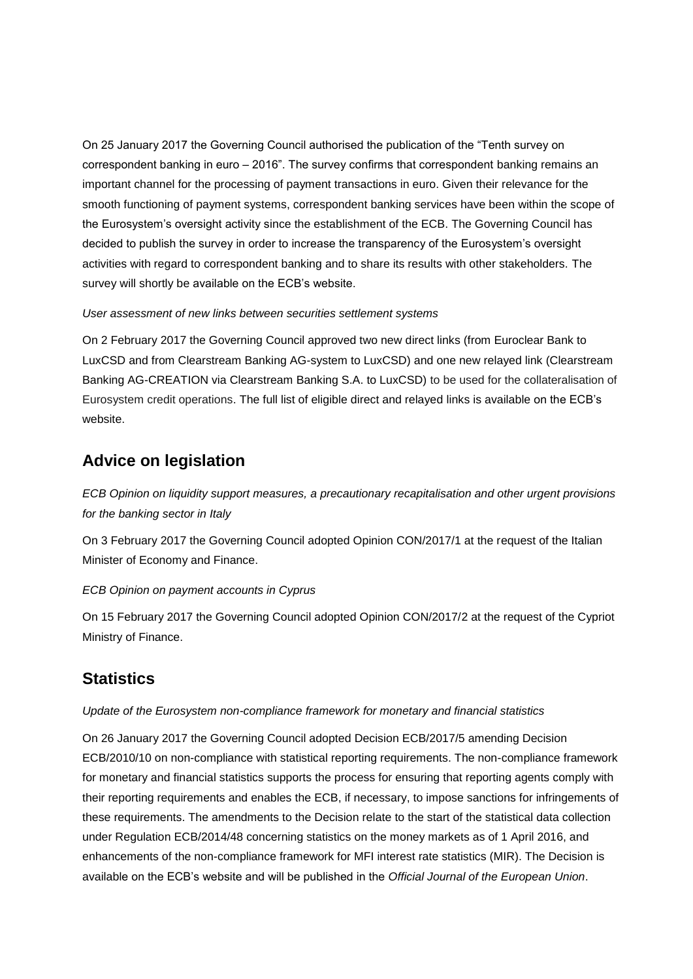On 25 January 2017 the Governing Council authorised the publication of the "Tenth survey on correspondent banking in euro – 2016". The survey confirms that correspondent banking remains an important channel for the processing of payment transactions in euro. Given their relevance for the smooth functioning of payment systems, correspondent banking services have been within the scope of the Eurosystem's oversight activity since the establishment of the ECB. The Governing Council has decided to publish the survey in order to increase the transparency of the Eurosystem's oversight activities with regard to correspondent banking and to share its results with other stakeholders. The survey will shortly be available on the ECB's website.

#### *User assessment of new links between securities settlement systems*

On 2 February 2017 the Governing Council approved two new direct links (from Euroclear Bank to LuxCSD and from Clearstream Banking AG-system to LuxCSD) and one new relayed link (Clearstream Banking AG-CREATION via Clearstream Banking S.A. to LuxCSD) to be used for the collateralisation of Eurosystem credit operations. The full list of eligible direct and relayed links is available on the ECB's website.

### **Advice on legislation**

*ECB Opinion on liquidity support measures, a precautionary recapitalisation and other urgent provisions for the banking sector in Italy*

On 3 February 2017 the Governing Council adopted Opinion CON/2017/1 at the request of the Italian Minister of Economy and Finance.

#### *ECB Opinion on payment accounts in Cyprus*

On 15 February 2017 the Governing Council adopted Opinion CON/2017/2 at the request of the Cypriot Ministry of Finance.

# **Statistics**

#### *Update of the Eurosystem non-compliance framework for monetary and financial statistics*

On 26 January 2017 the Governing Council adopted Decision ECB/2017/5 amending Decision ECB/2010/10 on non-compliance with statistical reporting requirements. The non-compliance framework for monetary and financial statistics supports the process for ensuring that reporting agents comply with their reporting requirements and enables the ECB, if necessary, to impose sanctions for infringements of these requirements. The amendments to the Decision relate to the start of the statistical data collection under Regulation ECB/2014/48 concerning statistics on the money markets as of 1 April 2016, and enhancements of the non-compliance framework for MFI interest rate statistics (MIR). The Decision is available on the ECB's website and will be published in the *Official Journal of the European Union*.